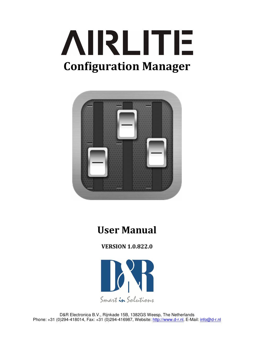



# **User Manual**

**VERSION 1.0.822.0** 



D&R Electronica B.V., Rijnkade 15B, 1382GS Weesp, The Netherlands Phone: +31 (0)294-418014, Fax: +31 (0)294-416987, Website: http://www.d-r.nl, E-Mail: info@d-r.nl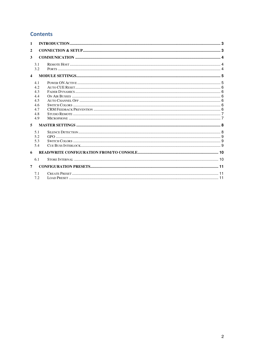# **Contents**

| $\mathbf{1}$            |                                                             |  |
|-------------------------|-------------------------------------------------------------|--|
| $\overline{2}$          |                                                             |  |
| 3                       |                                                             |  |
|                         | 3.1<br>3.2                                                  |  |
| $\overline{\mathbf{4}}$ |                                                             |  |
| 5                       | 4.1<br>4.2<br>4.3<br>4.4<br>4.5<br>4.6<br>4.7<br>4.8<br>4.9 |  |
|                         | 5.1<br>5.2<br>5.3<br>5.4                                    |  |
| 6                       |                                                             |  |
|                         | 6.1                                                         |  |
| $\overline{7}$          |                                                             |  |
|                         | 7.1<br>7.2                                                  |  |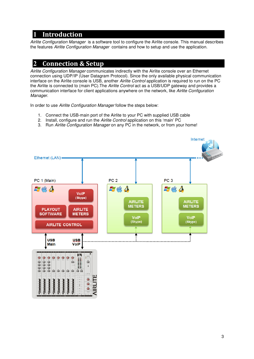# **1 Introduction**

Airlite Configuration Manager is a software tool to configure the Airlite console. This manual describes the features Airlite Configuration Manager contains and how to setup and use the application.

# **2 Connection & Setup**

Airlite Configuration Manager communicates indirectly with the Airlite console over an Ethernet connection using UDP/IP (User Datagram Protocol). Since the only available physical communication interface on the Airlite console is USB, another Airlite Control application is required to run on the PC the Airlite is connected to (main PC).The Airlite Control act as a USB/UDP gateway and provides a communication interface for client applications anywhere on the network, like Airlite Configuration Manager.

In order to use Airlite Configuration Manager follow the steps below:

- 1. Connect the USB-main port of the Airlite to your PC with supplied USB cable
- 2. Install, configure and run the Airlite Control application on this 'main' PC
- 3. Run Airlite Configuration Manager on any PC in the network, or from your home!

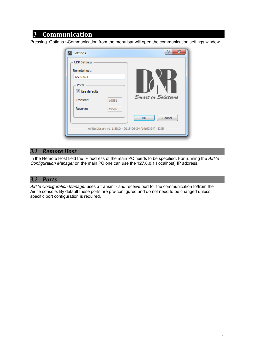# **3 Communication**

Pressing Options->Communication from the menu bar will open the communication settings window.

| Settings                                                | P<br>$\mathbf{x}$  |
|---------------------------------------------------------|--------------------|
| <b>UDP Settings</b>                                     |                    |
| Remote host:                                            |                    |
| 127.0.0.1                                               |                    |
| Ports                                                   |                    |
| V Use defaults                                          |                    |
| Transmit:<br>19551                                      | Smart in Solutions |
| Receive:<br>19549                                       |                    |
|                                                         | Cancel<br>OK       |
| Airlite Library v1.1.88.0 - 2015-06-24 (14:03:34) - D&R |                    |
|                                                         |                    |

#### *3.1 Remote Host*

In the Remote Host field the IP address of the main PC needs to be specified. For running the Airlite Configuration Manager on the main PC one can use the 127.0.0.1 (localhost) IP address.

### *3.2 Ports*

Airlite Configuration Manager uses a transmit- and receive port for the communication to/from the Airlite console. By default these ports are pre-configured and do not need to be changed unless specific port configuration is required.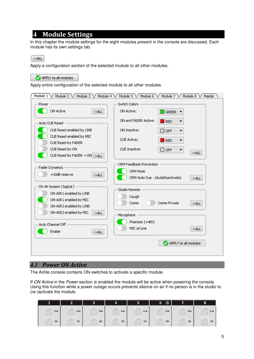# **4 Module** Settings

In this chapter the module settings for the eight modules present in the console are discussed. Each module has its own settings tab.

 $->ALL$ 

Apply a configuration section of the selected module to all other modules.

APPLY to all modules

Apply entire configuration of the selected module to all other modules

| Module $1 \sqrt{}$<br>Module 2 / Module 3 / Module 4 / | Module 5 \/ Module 6 \/ Module 7 \/ Module 8 \/<br>Master |
|--------------------------------------------------------|-----------------------------------------------------------|
| Power                                                  | <b>Switch Colors</b>                                      |
| <b>ON Active</b><br>$->ALL$                            | <b>ON Active:</b><br><b>GREEN</b>                         |
| Auto CUE Reset -                                       | ON and FADER Active:<br><b>RED</b>                        |
| CUE Reset enabled by LINE                              | ON Inactive:<br>$\Box$ OFF<br>▼                           |
| CUE Reset enabled by MIC                               | <b>CUE Active:</b><br><b>RED</b>                          |
| CUE Reset by FADER                                     |                                                           |
| CUE Reset by ON                                        | <b>CUE Inactive:</b><br>$\sqcap$ OFF<br>▼<br>$->ALL$      |
| CUE Reset by FADER + ON ->ALL                          |                                                           |
|                                                        | <b>CRM Feedback Prevention</b>                            |
| <b>Fader Dynamics</b>                                  | <b>CRM Mute</b>                                           |
| +10dB reserve<br>$->ALL$                               | CRM Auto Cue - (AutoDeactivate)<br>$->ALL$                |
| On Air busses (logical)                                |                                                           |
| ON-AIR 1 enabled by LINE                               | Studio Remote                                             |
| ON-AIR1 enabled by MIC                                 | Cough                                                     |
| ON-AIR2 enabled by LINE                                | Comm Private<br>Comm<br>$->ALL$                           |
| ON-AIR2 enabled by MIC<br>$-SALL$                      | Microphone                                                |
|                                                        |                                                           |
| Auto Channel Off                                       | Phantom (+48V)                                            |
| Enable<br>$->ALL$                                      | MIC at Line<br>$->ALL$                                    |
|                                                        | APPLY to all modules                                      |
|                                                        |                                                           |
|                                                        |                                                           |

## *4.1 Power ON Active*

The Airlite console contains ON-switches to activate a specific module.

If ON Active in the Power section is enabled the module will be active when powering the console. Using this function while a power outage occurs prevents silence on air if no person is in the studio to (re-)activate the module.

|     | G   |     | 4   | 5   | 6<br>œ | -   | 8   |
|-----|-----|-----|-----|-----|--------|-----|-----|
| Cue | Cue | Cue | Cue | Cue | Cue    | Cue | Cue |
| On  | On  | On  | On  | On  | On     | On  | On  |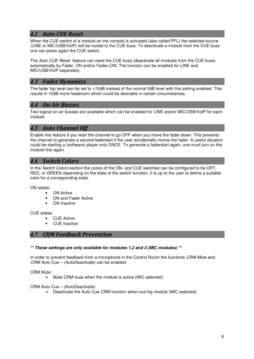## *4.2 Auto CUE Reset*

When the CUE-switch of a module on the console is activated (also called PFL) the selected source (LINE or MIC/USB/VoIP) will be routed to the CUE buss. To deactivate a module from the CUE buss one can press again the CUE-switch.

The Auto CUE Reset feature can reset the CUE buss (deactivate all modules from the CUE buss) automatically by Fader, ON and/or Fader+ON. The function can be enabled for LINE and MIC/USB/VoIP separately.

## *4.3 Fader Dynamics*

The fader top level can be set to +10dB instead of the normal 0dB level with this setting enabled. This results in 10dB more headroom which could be desirable in certain circumstances.

## *4.4 On Air Busses*

Two logical on-air busses are available which can be enabled for LINE and/or MIC/USB/VoIP for each module.

## *4.5 Auto Channel Off*

Enable this feature if you wish the channel to go OFF when you move the fader down. This prevents the channel to generate a second faderstart if the user accidentally moves the fader. A useful situation could be starting a (software) player only ONCE. To generate a faderstart again, one must turn on the module first again.

#### *4.6 Switch Colors*

In the Switch Colors section the colors of the ON- and CUE switches can be configured to be OFF, RED, or GREEN depending on the state of the switch-function. It is up to the user to define a suitable color for a corresponding state.

ON states:

- **ON Active**
- ON and Fader Active
- ON Inactive

CUE states:

- CUE Active
- CUE Inactive

#### *4.7 CRM Feedback Prevention*

#### **\*\* These settings are only available for modules 1,2 and 3 (MIC modules) \*\***

In order to prevent feedback from a microphone in the Control Room the functions CRM Mute and CRM Auto Cue – (AutoDeactivate) can be enabled.

CRM Mute:

 $\triangleright$  Mute CRM buss when the module is active (MIC selected).

CRM Auto Cue – (AutoDeactivate)

 $\triangleright$  Deactivate the Auto Cue CRM function when cue'ing module (MIC selected).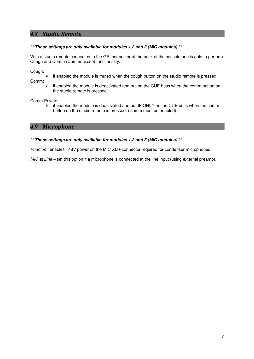## *4.8 Studio Remote*

#### **\*\* These settings are only available for modules 1,2 and 3 (MIC modules) \*\***

With a studio remote connected to the GPI connector at the back of the console one is able to perform Cough and Comm (Communicate) functionality.

Cough:

 $\triangleright$  if enabled the module is muted when the cough button on the studio remote is pressed

Comm:

 $\triangleright$  if enabled the module is deactivated and put on the CUE buss when the comm button on the studio remote is pressed.

Comm Private:

 $\triangleright$  if enabled the module is deactivated and put IF ONLY on the CUE buss when the comm button on the studio remote is pressed. (Comm must be enabled).

#### *4.9 Microphone*

#### **\*\* These settings are only available for modules 1,2 and 3 (MIC modules) \*\***

Phantom enables +48V power on the MIC XLR-connector required for condenser microphones.

 $MIC$  at Line – set this option if a microphone is connected at the line input (using external preamp).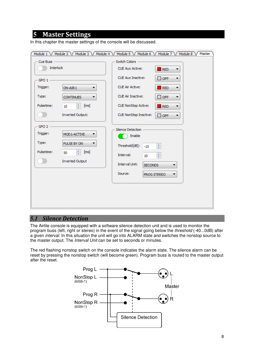# **5 Master Settings**

| Cue Buss -                                  |                                                                                   | Switch Colors                                                                                                                                                                                               |
|---------------------------------------------|-----------------------------------------------------------------------------------|-------------------------------------------------------------------------------------------------------------------------------------------------------------------------------------------------------------|
| Interlock                                   |                                                                                   | <b>CUE Aux Active:</b><br><b>RED</b><br>▼                                                                                                                                                                   |
| GPO1                                        |                                                                                   | <b>CUE Aux Inactive:</b><br>OFF<br>▼                                                                                                                                                                        |
| Trigger:                                    | ON-AIR1<br>▼                                                                      | <b>CUE Air Active:</b><br><b>RED</b><br>۰                                                                                                                                                                   |
| Type:                                       | <b>CONTINUES</b><br>▼                                                             | <b>CUE Air Inactive:</b><br>$\Box$ OFF<br>▼                                                                                                                                                                 |
| Pulsetime:                                  | ÷<br>[ms]<br>10                                                                   | <b>CUE NonStop Active:</b><br><b>RED</b><br>▼                                                                                                                                                               |
|                                             | <b>Inverted Output:</b>                                                           | CUE NonStop Inactive:<br>$\Box$ OFF<br>▼                                                                                                                                                                    |
| $GPO2 -$<br>Trigger:<br>Type:<br>Pulsetime: | MOD1-ACTIVE<br>▼<br>PULSE BY ON<br>▼<br>÷<br>[ms]<br>50<br><b>Inverted Output</b> | Silence Detection -<br>Enable<br>$\frac{1}{\sqrt{2}}$<br>Threshold[dB]:<br>$-15$<br>$\frac{1}{x}$<br>Interval:<br>10 <sup>°</sup><br><b>Interval Unit:</b><br><b>SECONDS</b><br>Source:<br>PROG STEREO<br>▼ |

In this chapter the master settings of the console will be discussed.

#### *5.1 Silence Detection*

The Airlite console is equipped with a software silence detection unit and is used to monitor the program buss (left, right or stereo) in the event of the signal going below the threshold (-40...0dB) after a given interval. In this situation the unit will go into ALARM state and switches the nonstop source to the master output. The Interval Unit can be set to seconds or minutes.

The red flashing nonstop switch on the console indicates the alarm state. The silence alarm can be reset by pressing the nonstop switch (will become green). Program buss is routed to the master output after the reset.

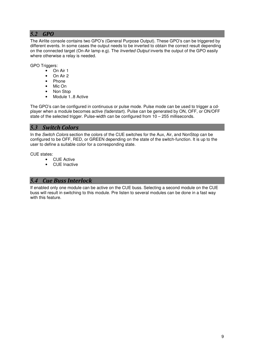# *5.2 GPO*

The Airlite console contains two GPO's (General Purpose Output). These GPO's can be triggered by different events. In some cases the output needs to be inverted to obtain the correct result depending on the connected target (On-Air lamp e.g). The *Inverted Output* inverts the output of the GPO easily where otherwise a relay is needed.

GPO Triggers:

- On Air 1
- On Air 2
- Phone
- Mic On
- Non Stop
- Module 1..8 Active

The GPO's can be configured in continuous or pulse mode. Pulse mode can be used to trigger a cdplayer when a module becomes active (faderstart). Pulse can be generated by ON, OFF, or ON/OFF state of the selected trigger. Pulse-width can be configured from  $10 - 255$  milliseconds.

#### *5.3 Switch Colors*

In the Switch Colors section the colors of the CUE switches for the Aux, Air, and NonStop can be configured to be OFF, RED, or GREEN depending on the state of the switch-function. It is up to the user to define a suitable color for a corresponding state.

CUE states:

- CUE Active
- CUE Inactive

#### *5.4 Cue Buss Interlock*

If enabled only one module can be active on the CUE buss. Selecting a second module on the CUE buss will result in switching to this module. Pre listen to several modules can be done in a fast way with this feature.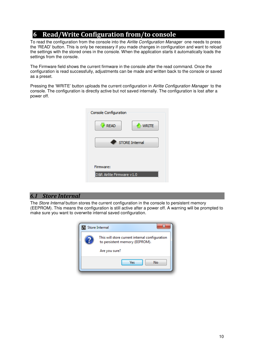# **6** Read/Write Configuration from/to console

To read the configuration from the console into the Airlite Configuration Manager one needs to press the 'READ' button. This is only be necessary if you made changes in configuration and want to reload the settings with the stored ones in the console. When the application starts it automatically loads the settings from the console.

The Firmware field shows the current firmware in the console after the read command. Once the configuration is read successfully, adjustments can be made and written back to the console or saved as a preset.

Pressing the 'WRITE' button uploads the current configuration in Airlite Configuration Manager to the console. The configuration is directly active but not saved internally. The configuration is lost after a power off.

| Console Configuration                  |
|----------------------------------------|
| <b>READ</b><br><b>WRITE</b>            |
| <b>STORE Internal</b>                  |
| Firmware:<br>D&R Airlite Firmware v1.0 |

#### *6.1 Store Internal*

The *Store Internal* button stores the current configuration in the console to persistent memory (EEPROM). This means the configuration is still active after a power off. A warning will be prompted to make sure you want to overwrite internal saved configuration.